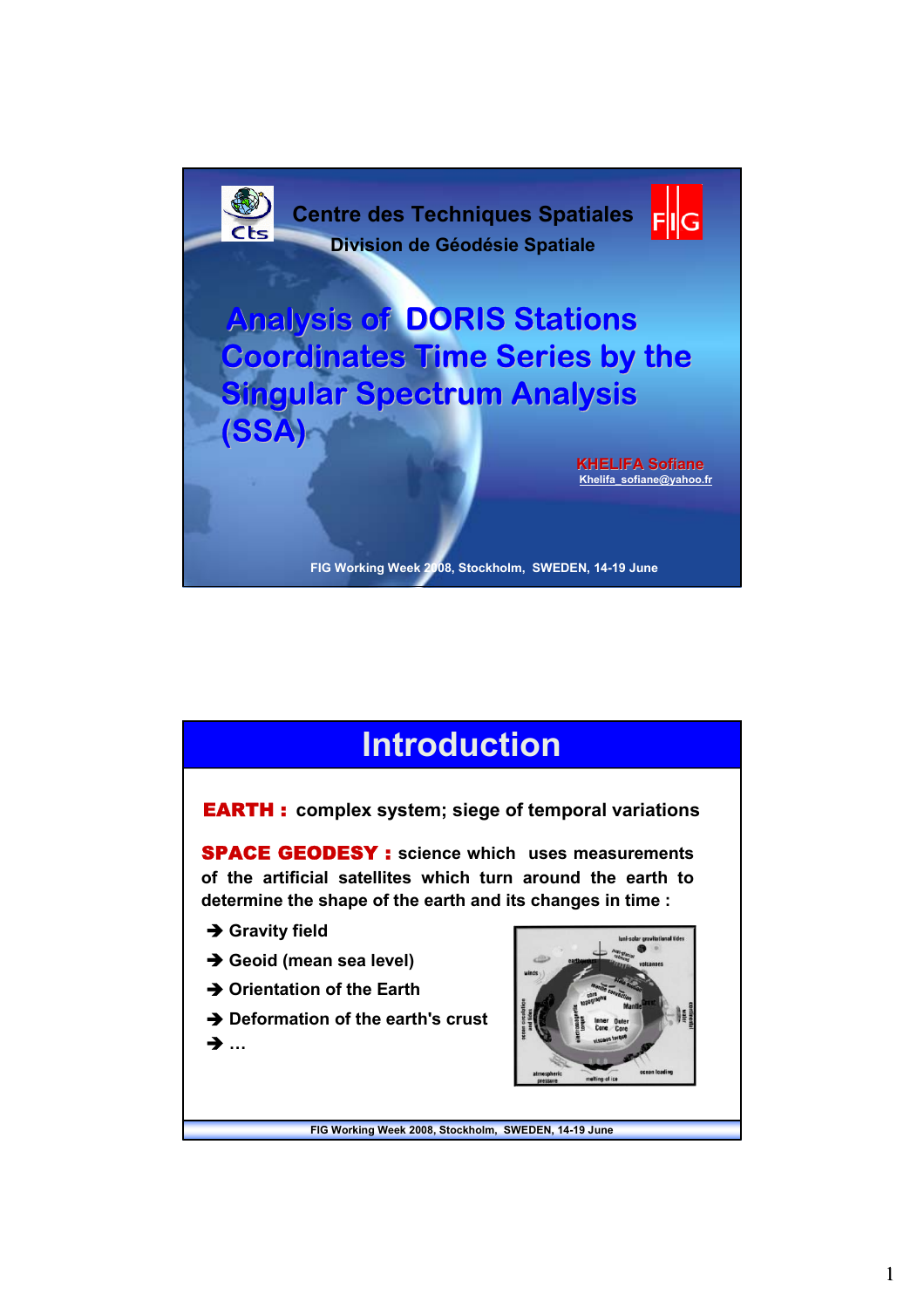

### **Introduction Introduction**

EARTH : **complex system; siege of temporal variations**

SPACE GEODESY : **science which uses measurements of the artificial satellites which turn around the earth to determine the shape of the earth and its changes in time :** 

- **→ Gravity field**
- $\rightarrow$  Geoid (mean sea level)
- **→ Orientation of the Earth**

**→ Deformation of the earth's crust** Î **…**

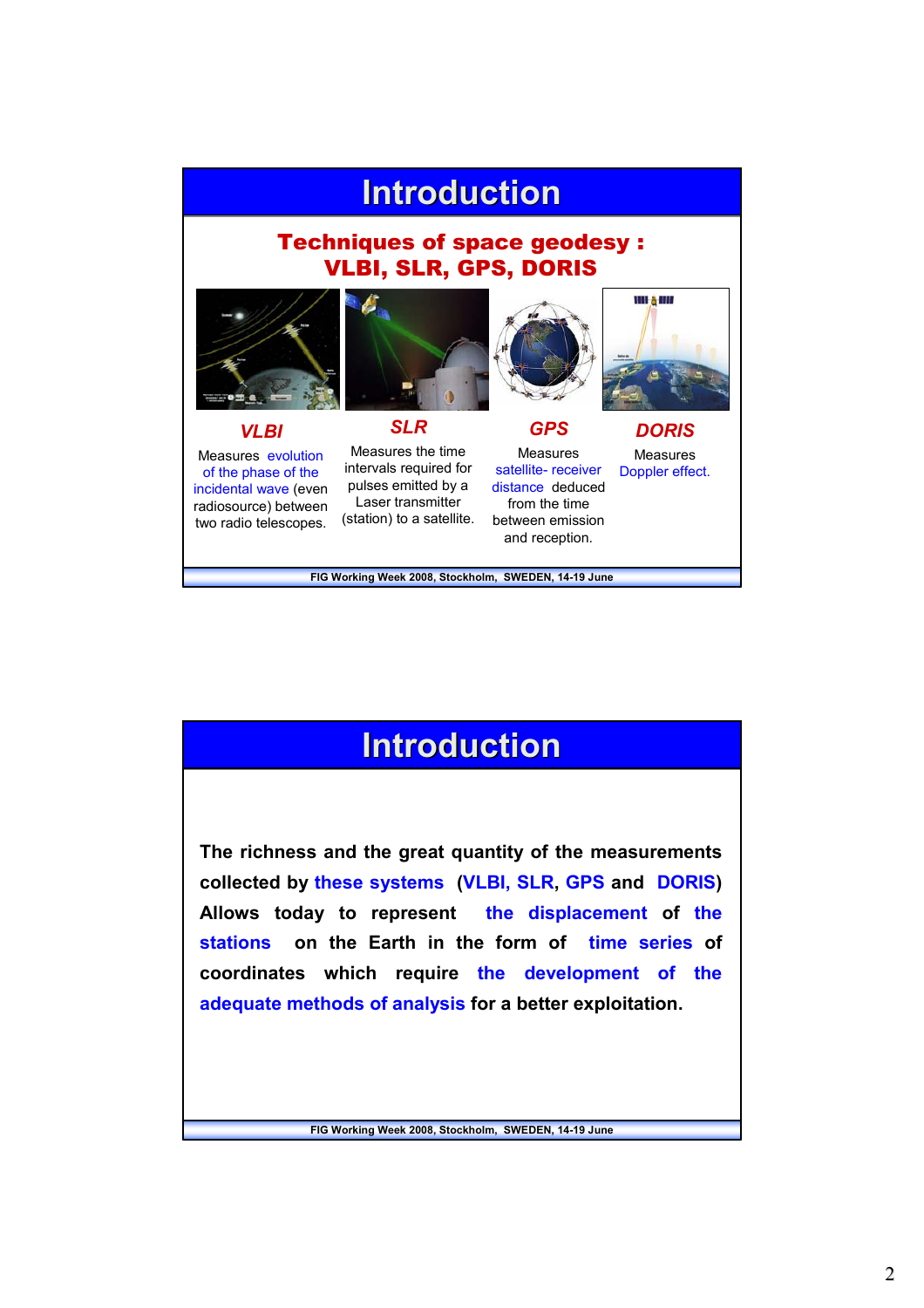# **Introduction**

### Techniques of space geodesy : VLBI, SLR, GPS, DORIS







Measures evolution of the phase of the incidental wave (even radiosource) between two radio telescopes.

*VLBI*

Measures the time intervals required for pulses emitted by a Laser transmitter (station) to a satellite.

*SLR*



Measures Doppler effect.

*DORIS*

un <sub>à</sub> m

**FIG Working Week 2008, Stockholm, SWEDEN, 14-19 June** 

### **Introduction Introduction**

**The richness and the great quantity of the measurements collected by these systems (VLBI, SLR, GPS and DORIS) Allows today to represent the displacement of the stations on the Earth in the form of time series of coordinates which require the development of the adequate methods of analysis for a better exploitation.**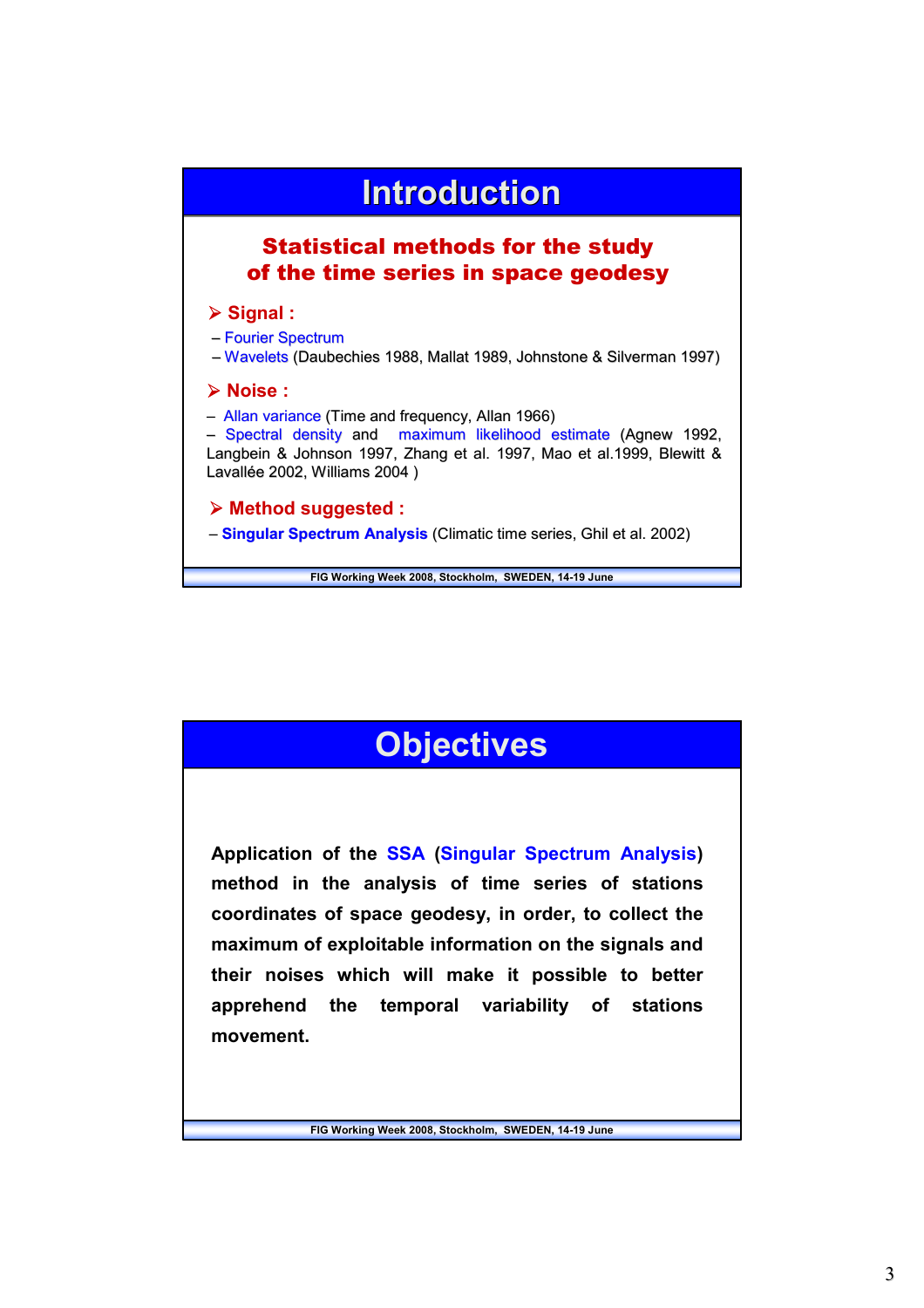

## **Objectives Objectives**

**Application of the SSA (Singular Spectrum Analysis) method in the analysis of time series of stations coordinates of space geodesy, in order, to collect the maximum of exploitable information on the signals and their noises which will make it possible to better apprehend the temporal variability of stations movement.**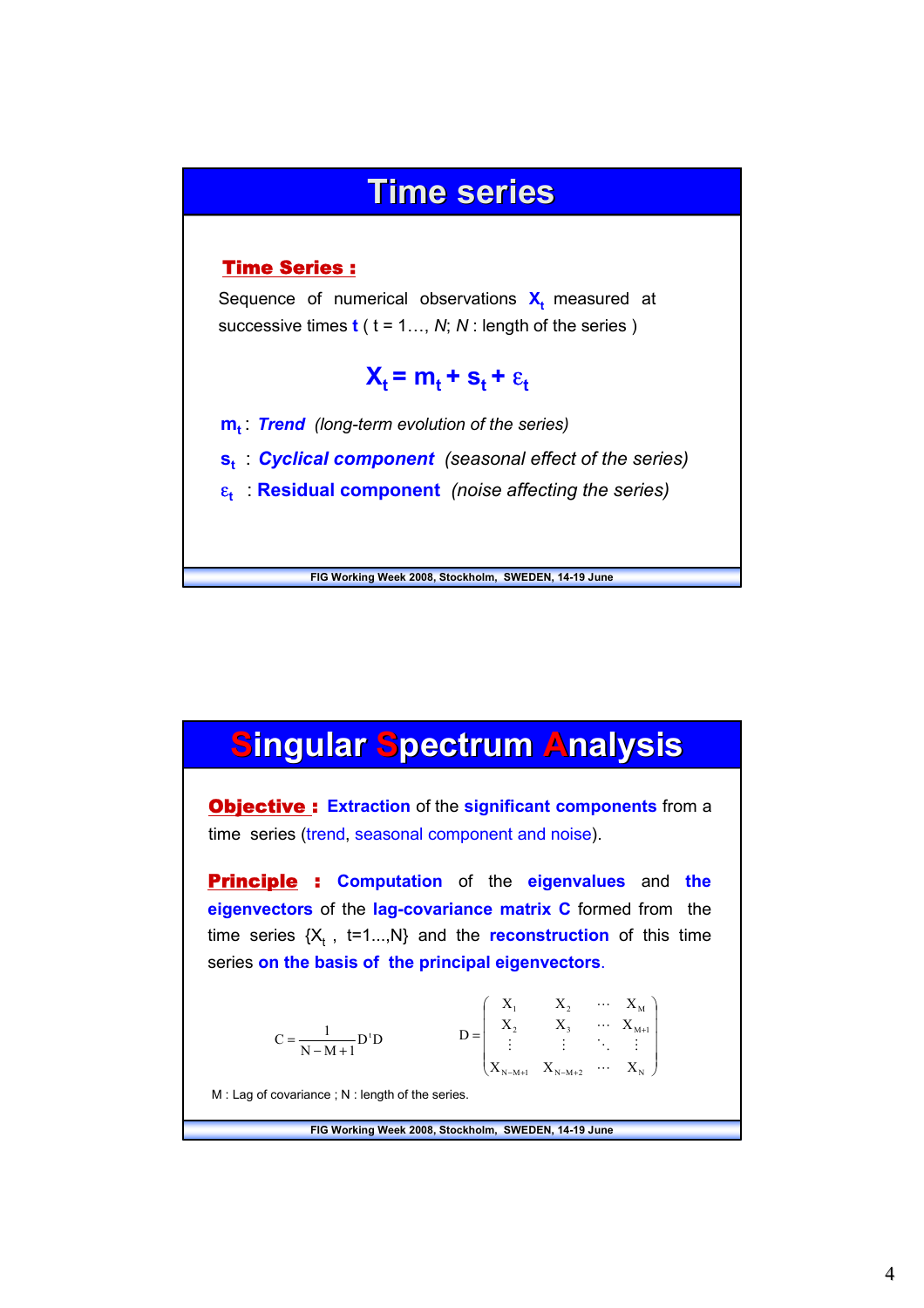### **Time series Time series**

#### Time Series :

Sequence of numerical observations  $X_t$  measured at successive times **t** ( t = 1…, *N*; *N* : length of the series )

### $X_t = m_t + s_t + \varepsilon_t$

**m<sub>t</sub>** *Trend (long-term evolution of the series)* 

**s**<sub>*t***</sub>** *Cyclical component (seasonal effect of the series)*</sub>

ε**<sup>t</sup>** : **Residual component** *(noise affecting the series)*

**FIG Working Week 2008, Stockholm, SWEDEN, 14-19 June** 

### **Singular Spectrum Analysis ingular ingular Spectrum pectrum Analysis nalysis**

Objective : **Extraction** of the **significant components** from a time series (trend, seasonal component and noise).

Principle : **Computation** of the **eigenvalues** and **the eigenvectors** of the **lag-covariance matrix C** formed from the time series  $\{X_t, t=1...,N\}$  and the **reconstruction** of this time series **on the basis of the principal eigenvectors**.

$$
C = \frac{1}{N - M + 1} D^{t} D \qquad D = \begin{pmatrix} X_{1} & X_{2} & \cdots & X_{M} \\ X_{2} & X_{3} & \cdots & X_{M+1} \\ \vdots & \vdots & \ddots & \vdots \\ X_{N - M + 1} & X_{N - M + 2} & \cdots & X_{N} \end{pmatrix}
$$
  
M : Lag of covariance ; N : length of the series.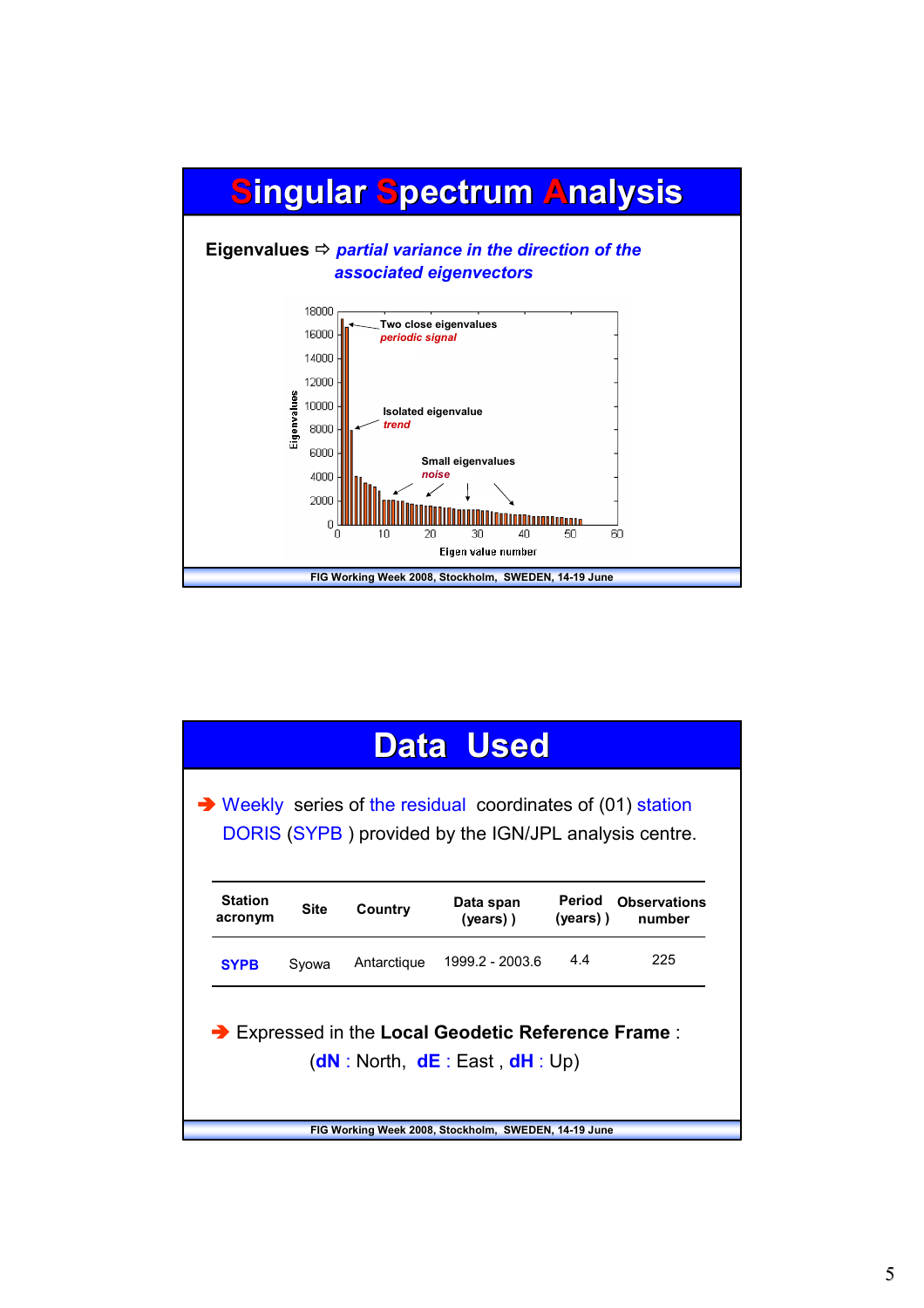

| <b>Data Used</b>                                                                                                                          |             |             |                          |                    |                               |  |  |  |  |
|-------------------------------------------------------------------------------------------------------------------------------------------|-------------|-------------|--------------------------|--------------------|-------------------------------|--|--|--|--|
| $\rightarrow$ Weekly series of the residual coordinates of (01) station<br>DORIS (SYPB) provided by the IGN/JPL analysis centre.          |             |             |                          |                    |                               |  |  |  |  |
| <b>Station</b><br>acronym                                                                                                                 | <b>Site</b> | Country     | Data span<br>$(vears)$ ) | Period<br>(years)) | <b>Observations</b><br>number |  |  |  |  |
| <b>SYPB</b>                                                                                                                               | Syowa       | Antarctique | 1999.2 - 2003.6          | 44                 | 225                           |  |  |  |  |
| Expressed in the Local Geodetic Reference Frame:<br>(dN: North, dE: East, dH: Up)<br>FIG Working Week 2008, Stockholm, SWEDEN, 14-19 June |             |             |                          |                    |                               |  |  |  |  |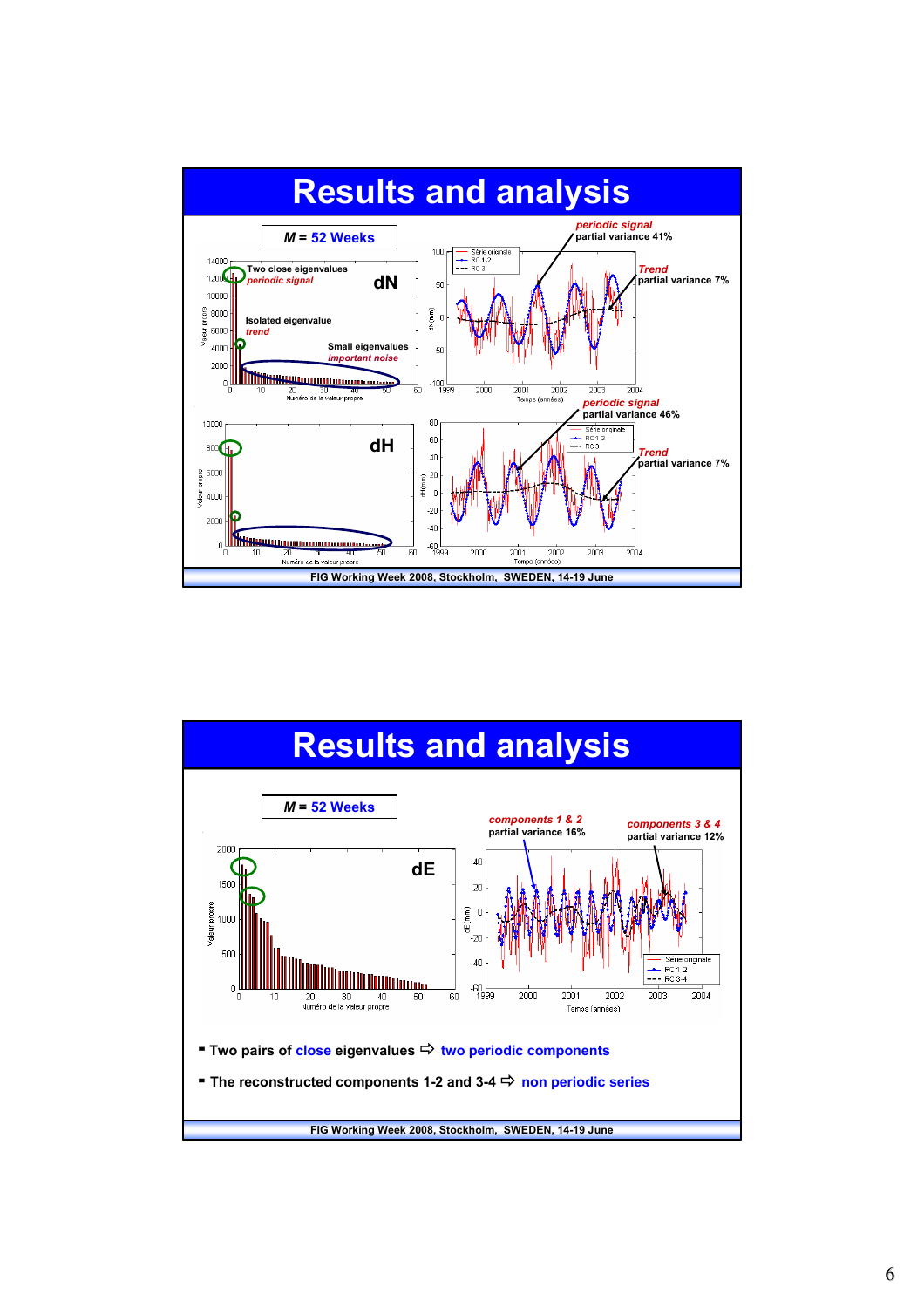

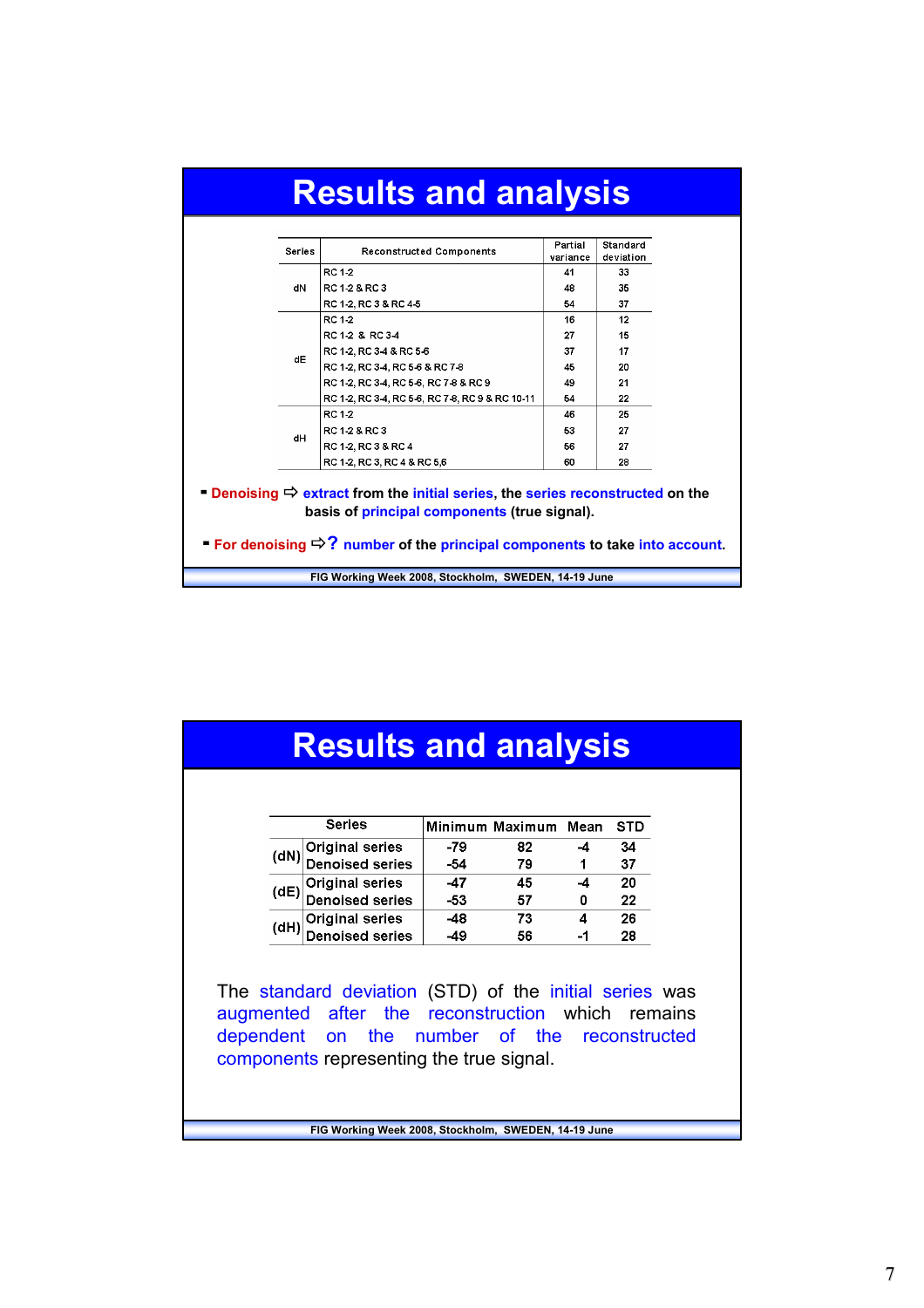|  | <b>Series</b> | <b>Reconstructed Components</b>                                                                                                                                                                                                                        | Partial<br>variance | Standard<br>deviation |  |
|--|---------------|--------------------------------------------------------------------------------------------------------------------------------------------------------------------------------------------------------------------------------------------------------|---------------------|-----------------------|--|
|  |               | RC 1-2                                                                                                                                                                                                                                                 | 41                  | 33                    |  |
|  | dN            | RC 1-2 & RC 3                                                                                                                                                                                                                                          | 48                  | 35                    |  |
|  |               | RC 1-2, RC 3 & RC 4-5                                                                                                                                                                                                                                  | 54                  | 37                    |  |
|  |               | RC 1-2                                                                                                                                                                                                                                                 | 16                  | 12                    |  |
|  |               | RC 1-2 & RC 3-4                                                                                                                                                                                                                                        | 27                  | 15                    |  |
|  | dE            | RC 1-2, RC 3-4 & RC 5-6                                                                                                                                                                                                                                | 37                  | 17                    |  |
|  |               | RC 1-2, RC 3-4, RC 5-6 & RC 7-8                                                                                                                                                                                                                        | 45                  | 20                    |  |
|  |               | RC 1-2, RC 3-4, RC 5-6, RC 7-8 & RC 9                                                                                                                                                                                                                  | 49                  | 21                    |  |
|  |               | RC 1-2, RC 3-4, RC 5-6, RC 7-8, RC 9 & RC 10-11                                                                                                                                                                                                        | 54                  | 22                    |  |
|  |               | RC 1-2                                                                                                                                                                                                                                                 | 46                  | 25                    |  |
|  | dH            | RC 1-2 & RC 3                                                                                                                                                                                                                                          | 53                  | 27                    |  |
|  |               | RC 1-2, RC 3 & RC 4                                                                                                                                                                                                                                    | 56                  | 27                    |  |
|  |               | RC 1-2, RC 3, RC 4 & RC 5,6                                                                                                                                                                                                                            | 60                  | 28                    |  |
|  |               | <b>Denoising <math>\Rightarrow</math> extract from the initial series, the series reconstructed on the</b><br>basis of principal components (true signal).<br>■ For denoising $\Rightarrow$ ? number of the principal components to take into account. |                     |                       |  |

# **Results and analysis Results and analysis**

| <b>Series</b> |                                              |     | Minimum Maximum Mean | STD |
|---------------|----------------------------------------------|-----|----------------------|-----|
|               | (dN) Original series<br>(dN) Denoised series | -79 | 82                   | 34  |
|               |                                              | -54 | 79                   | 37  |
| (dE           | Original series<br>Denoised series           | -47 | 45                   | 20  |
|               |                                              | -53 | 57                   | 22  |
| (dH)          | Original series<br>Denoised series           | -48 | 73                   | 26  |
|               |                                              | -49 | 56                   | 28  |

The standard deviation (STD) of the initial series was augmented after the reconstruction which remains dependent on the number of the reconstructed components representing the true signal.